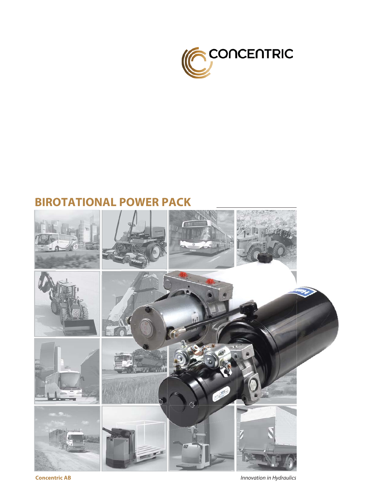

## **BIROTATIONAL POWER PACK**



**Concentric AB** *Innovation in Hydraulics*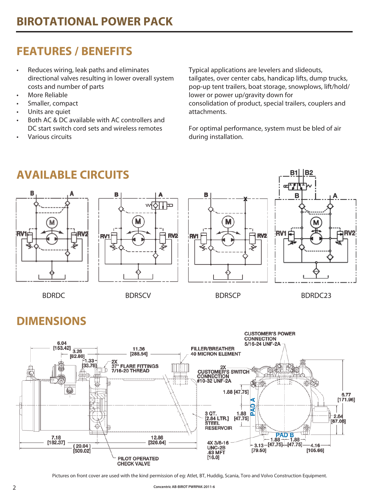# **FEATURES / BENEFITS**

- Reduces wiring, leak paths and eliminates directional valves resulting in lower overall system costs and number of parts
- More Reliable
- Smaller, compact
- Units are quiet
- Both AC & DC available with AC controllers and DC start switch cord sets and wireless remotes
- Various circuits

Typical applications are levelers and slideouts, tailgates, over center cabs, handicap lifts, dump trucks, pop-up tent trailers, boat storage, snowplows, lift/hold/ lower or power up/gravity down for consolidation of product, special trailers, couplers and attachments.

For optimal performance, system must be bled of air during installation.



# **DIMENSIONS**



Pictures on front cover are used with the kind permission of eg: Atlet, BT, Huddig, Scania, Toro and Volvo Construction Equipment.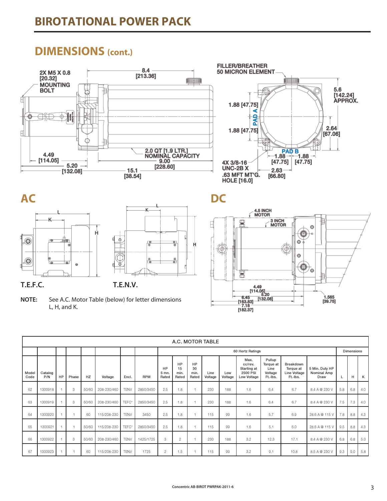## **DIMENSIONS (cont.)**









**NOTE:** See A.C. Motor Table (below) for letter dimensions L, H, and K.



|               | A.C. MOTOR TABLE |    |       |       |             |             |            |                      |                                |                           |                 |                |                                                           |                                                    |                                                    |                                              |     |     |     |
|---------------|------------------|----|-------|-------|-------------|-------------|------------|----------------------|--------------------------------|---------------------------|-----------------|----------------|-----------------------------------------------------------|----------------------------------------------------|----------------------------------------------------|----------------------------------------------|-----|-----|-----|
|               |                  |    |       |       |             |             |            |                      | 60 Hertz Ratings<br>Dimensions |                           |                 |                |                                                           |                                                    |                                                    |                                              |     |     |     |
| Model<br>Code | Catalog<br>P/N   | HP | Phase | HZ    | Voltage     | Encl.       | <b>RPM</b> | HP<br>5 mn.<br>Rated | HP<br>15<br>min.<br>Rated      | HP<br>30<br>min.<br>Rated | Line<br>Voltage | Low<br>Voltage | Max.<br>cc/rev.<br>Starting at<br>2500 PSI<br>Low Voltage | Pullup<br>Torque at<br>Line<br>Voltage<br>Ft.-Ibs. | Breakdown<br>Torque at<br>Line Voltage<br>Ft.-Ibs. | 5 Min. Duty HP<br><b>Nominal Amp</b><br>Draw |     | н   | К   |
| 62            | 1300918          |    | 3     | 50/60 | 208-230/460 | <b>TENV</b> | 2850/3450  | 2.5                  | 1.8                            |                           | 230             | 188            | 1.6                                                       | 6.4                                                | 6.7                                                | 8.4 A @ 230 V                                | 5.8 | 6.8 | 4.0 |
| 63            | 1300919          |    | 3     | 50/60 | 208-230/460 | TEFC*       | 2850/3450  | 2.5                  | 1.8                            |                           | 230             | 188            | 1.6                                                       | 6.4                                                | 6.7                                                | 8.4 A @ 230 V                                | 7.5 | 7.3 | 4.0 |
| 64            | 1300920          |    |       | 60    | 115/208-230 | <b>TENV</b> | 3450       | 2.5                  | 1.8                            |                           | 115             | 99             | 1.6                                                       | 5.7                                                | 6.9                                                | 28.6 A @ 115 V                               | 7.8 | 8.8 | 4.3 |
| 65            | 1300921          |    |       | 50/60 | 115/208-230 | TEFC*       | 2850/3450  | 2.5                  | 1.8                            |                           | 115             | 99             | 1.6                                                       | 5.1                                                | 6.0                                                | 28.6 A @ 115 V                               | 9.5 | 8.8 | 4.3 |
| 66            | 1300922          |    | 3     | 50/60 | 208-230/460 | <b>TENV</b> | 1425/1725  | 3                    | $\overline{c}$                 |                           | 230             | 188            | 3.2                                                       | 12.3                                               | 17.1                                               | 8.4 A @ 230 V                                | 6.8 | 6.8 | 5.0 |
| 67            | 1300923          |    |       | 60    | 115/208-230 | <b>TENV</b> | 1725       | $\overline{2}$       | 1.5                            |                           | 115             | 99             | 3.2                                                       | 9.1                                                | 10.8                                               | 8.5 A @ 230 V                                | 9.3 | 9.0 | 5.8 |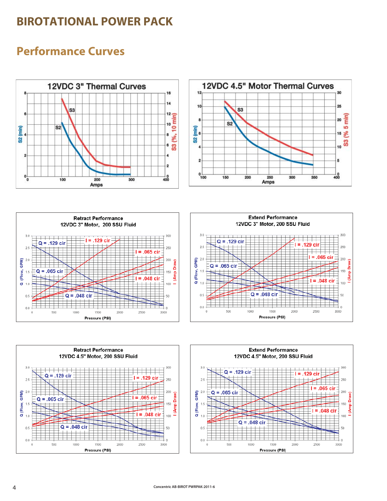### **BIROTATIONAL POWER PACK**

## **Performance Curves**











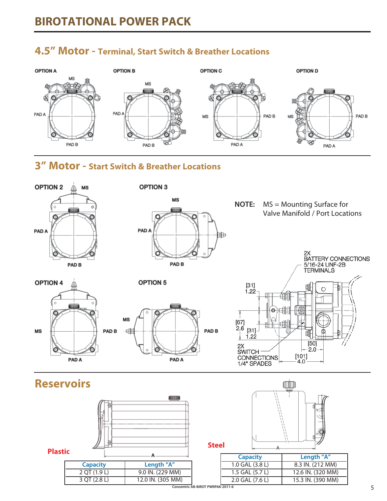

### **4.5" Motor - Terminal, Start Switch & Breather Locations**

### **3" Motor - Start Switch & Breather Locations**

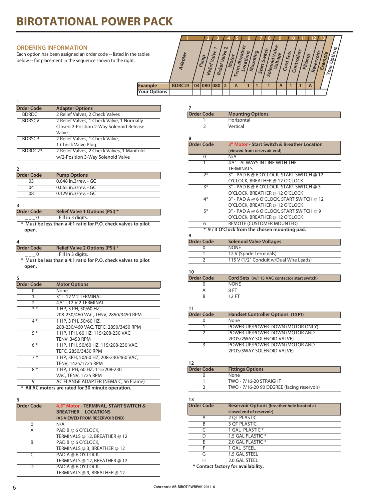# **BIROTATIONAL POWER PACK**

#### **ORDERING INFORMATION**

Each option has been assigned an order code -- listed in the tables below -- for placement in the sequence shown to the right.

|                     |                |    |                |                                             |                 |                                                      |           |                   |                              | o                   |                            |          |                       |                        |  |
|---------------------|----------------|----|----------------|---------------------------------------------|-----------------|------------------------------------------------------|-----------|-------------------|------------------------------|---------------------|----------------------------|----------|-----------------------|------------------------|--|
| e tables            | <b>Adapter</b> |    | Pump<br>Relief | $\overline{\phantom{0}}$<br>Valve<br>Relief | $\sim$<br>Valve | <b>Breather</b><br>Motor<br>'n,<br>$\overline{I}$ er | Locations | Mounting<br>Start | Switch<br>Solenoid<br>Voltag | Valve<br>g6<br>Cord | <b>Controllers</b><br>Sets | Fittings | Reservoirs<br>Example | Options<br>$v_{\rm o}$ |  |
| <b>Example</b>      | BDRC23         | 04 | 1080           | 1080                                        |                 | A                                                    |           |                   |                              | $\mathsf{A}$        |                            | A        |                       |                        |  |
| <b>Your Options</b> |                |    |                |                                             |                 |                                                      |           |                   |                              |                     |                            |          |                       |                        |  |
|                     |                |    |                |                                             |                 |                                                      |           |                   |                              |                     |                            |          |                       |                        |  |

**Mounting Options** 

 1 Horizontal 2 Vertical

| <b>Order Code</b> | <b>Adapter Options</b>                      |
|-------------------|---------------------------------------------|
| <b>BDRDC</b>      | 2 Relief Valves, 2 Check Valves             |
| <b>BDRSCV</b>     | 2 Relief Valves, 1 Check Valve, 1 Normally  |
|                   | Closed 2-Position 2-Way Solenoid Release    |
|                   | Valve                                       |
| <b>BDRSCP</b>     | 2 Relief Valves, 1 Check Valve,             |
|                   | 1 Check Valve Plug                          |
| BDRDC23           | 2 Relief Valves, 2 Check Valves, 1 Manifold |
|                   | w/2-Position 3-Way Solenoid Valve           |
|                   |                                             |

| <b>Order Code</b> | <b>Pump Options</b>  |
|-------------------|----------------------|
| 03                | 0.048 in 3/rev. - GC |
| 04                | 0.065 in.3/rev. - GC |
| 08                | 0.129 in.3/rev. - GC |

**3**

**1**

| Order Code | <b>Relief Valve 1 Options (PSI) *</b> |
|------------|---------------------------------------|
|            | Fill in 3 digits.                     |

**\* Must be less than a 4:1 ratio for P.O. check valves to pilot open.**

#### **4**

| <b>Order Code</b> | <b>Relief Valve 2 Options (PSI) *</b> |  |
|-------------------|---------------------------------------|--|
|                   | Fill in 3 digits.                     |  |

**\* Must be less than a 4:1 ratio for P.O. check valves to pilot open.**

**5**

| <b>Order Code</b> | <b>Motor Options</b>                  |
|-------------------|---------------------------------------|
| O                 | None                                  |
|                   | 3" - 12 V 2 TERMINAL                  |
| 2                 | 4.5" - 12 V 2 TERMINAL                |
| $3 *$             | 1 HP, 3 PH, 50/60 HZ,                 |
|                   | 208-230/460 VAC, TENV, 2850/3450 RPM  |
| 4 *               | 1 HP, 3 PH, 50/60 HZ,                 |
|                   | 208-230/460 VAC, TEFC, 2850/3450 RPM  |
| $5*$              | 1 HP, 1PH, 60 HZ, 115/208-230 VAC,    |
|                   | <b>TENV, 3450 RPM</b>                 |
| $6*$              | 1 HP, 1PH, 50/60 HZ, 115/208-230 VAC, |
|                   | TEFC, 2850/3450 RPM                   |
| $7 *$             | 1 HP, 3PH, 50/60 HZ, 208-230/460 VAC, |
|                   | TENV, 1425/1725 RPM                   |
| $8*$              | 1 HP, 1 PH, 60 HZ, 115/208-230        |
|                   | VAC, TENV, 1725 RPM                   |
| 9                 | AC FLANGE ADAPTER (NEMA C, 56 Frame)  |
|                   |                                       |

 **\* All AC motors are rated for 30 minute operation.**

**6**

| <b>Order Code</b> | 4.5" Motor - TERMINAL, START SWITCH &<br>BREATHER LOCATIONS |
|-------------------|-------------------------------------------------------------|
|                   | (AS VIEWED FROM RESERVOIR END)                              |
|                   |                                                             |
| ი                 | N/A                                                         |
| А                 | PAD B @ 6 O'CLOCK,                                          |
|                   | TERMINALS @ 12, BREATHER @ 12                               |
| R                 | PAD B @ 6 O'CLOCK,                                          |
|                   | TERMINALS @ 3, BREATHER @ 12                                |
|                   | PAD A @ 6 O'CLOCK,                                          |
|                   | TERMINALS @ 12, BREATHER @ 12                               |
| D                 | PAD A @ 6 O'CLOCK.                                          |
|                   | TERMINALS @ 9, BREATHER @ 12                                |

| 8                 |                                             |
|-------------------|---------------------------------------------|
| <b>Order Code</b> | 3" Motor - Start Switch & Breather Location |
|                   | (viewed from reservoir end)                 |
| 0                 | N/A                                         |
| 1                 | 4.5" - ALWAYS IN LINE WITH THE              |
|                   | <b>TERMINALS</b>                            |
| $7*$              | 3" - PAD B @ 6 O'CLOCK, START SWITCH @ 12   |
|                   | O'CLOCK, BREATHER @ 12 O'CLOCK              |
| $3*$              | 3" - PAD B @ 6 O'CLOCK, START SWITCH @ 3    |
|                   | O'CLOCK, BREATHER @ 12 O'CLOCK              |
| $4*$              | 3" - PAD A @ 6 O'CLOCK, START SWITCH @ 12   |
|                   | O'CLOCK, BREATHER @ 12 O'CLOCK              |
| $5*$              | 3" - PAD A @ 6 O'CLOCK, START SWITCH @ 9    |
|                   | O'CLOCK, BREATHER @ 12 O'CLOCK              |
| 6                 | REMOTE (CUSTOMER MOUNTED)                   |
|                   | * 9/3 O'Clock from the chosen mounting pad. |
| 9                 |                                             |
| <b>Order Code</b> | <b>Solenoid Valve Voltages</b>              |
|                   | <b>NONE</b>                                 |
|                   | 12 V (Spade Terminals)                      |
| 2                 | 115 V (1/2" Conduit w/Dual Wire Leads)      |

|--|

7<br>|Order Code

| <b>Order Code</b> | Cord Sets (w/115 VAC contactor start switch) |  |
|-------------------|----------------------------------------------|--|
|                   | <b>NONF</b>                                  |  |
|                   | 8 FT                                         |  |
|                   | 12 FT                                        |  |
|                   |                                              |  |

#### **11**

| <b>Order Code</b> | Handset Controller Options (10 FT) |
|-------------------|------------------------------------|
|                   | None                               |
|                   | POWER-UP/POWER-DOWN (MOTOR ONLY)   |
|                   | POWER-UP/POWER-DOWN (MOTOR AND     |
|                   | 2POS/2WAY SOLENOID VALVE)          |
|                   | POWER-UP/POWER-DOWN (MOTOR AND     |
|                   | 2POS/3WAY SOLENOID VALVE)          |

#### **12**

| $\overline{\phantom{a}}$ |                                            |
|--------------------------|--------------------------------------------|
| <b>Order Code</b>        | <b>Fittings Options</b>                    |
|                          | None                                       |
|                          | <b>TWO - 7/16-20 STRAIGHT</b>              |
|                          | TWO - 7/16-20 90 DEGREE (facing reservoir) |

#### **13**

| <b>Order Code</b> | <b>Reservoir Options (breather hole located at</b><br>closed end of reservoir) |
|-------------------|--------------------------------------------------------------------------------|
|                   | <b>2 OT PLASTIC</b>                                                            |
| R                 | <b>3 OT PLASTIC</b>                                                            |
|                   | 1 GAL PLASTIC *                                                                |
| D                 | 1.5 GAL PLASTIC *                                                              |
|                   | 2.0 GAL PLASTIC *                                                              |
|                   | 1 GAL STEEL                                                                    |
| G                 | 1.5 GAL STEEL                                                                  |
| н                 | 2.0 GAL STEEL                                                                  |
|                   | .                                                                              |

**\* Contact factory for availability.**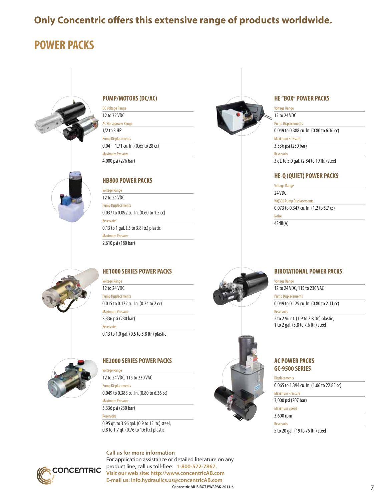### **Only Concentric offers this extensive range of products worldwide.**

# **POWER PACKS**



#### **PUMP/MOTORS (DC/AC)**

DC Voltage Range 12 to 72 VDC AC Horsepower Range 1/2 to 3 HP Pump Displacements 0.04 – 1.71 cu. In. (0.65 to 28 cc) Maximum Pressure 4,000 psi (276 bar)

### **HB800 POWER PACKS**

Voltage Range 12 to 24 VDC Pump Displacements 0.037 to 0.092 cu. In. (0.60 to 1.5 cc) Reservoirs 0.13 to 1 gal. (.5 to 3.8 ltr.) plastic Maximum Pressure 2,610 psi (180 bar)



#### **HE1000 SERIES POWER PACKS**

Voltage Range 12 to 24 VDC Pump Displacements 0.015 to 0.122 cu. In. (0.24 to 2 cc) Maximum Pressure 3,336 psi (230 bar) Reservoirs 0.13 to 1.0 gal. (0.5 to 3.8 ltr.) plastic



#### **HE2000 SERIES POWER PACKS**

Voltage Range 12 to 24 VDC, 115 to 230 VAC

Pump Displacements 0.049 to 0.388 cu. In. (0.80 to 6.36 cc)

Maximum Pressure

3,336 psi (230 bar)

Reservoirs

0.95 qt. to 3.96 gal. (0.9 to 15 ltr.) steel, 0.8 to 1.7 qt. (0.76 to 1.6 ltr.) plastic



**Concentric AB-BIROT PWRPAK-2011-6** 7 **Call us for more information** For application assistance or detailed literature on any product line, call us toll-free: **1-800-572-7867. Visit our web site: http://www.concentricAB.com E-mail us: info.hydraulics.us@concentricAB.com**





Voltage Range

12 to 24 VDC

Pump Displacements

0.049 to 0.388 cu. In. (0.80 to 6.36 cc)

Maximum Pressure

3,336 psi (230 bar)

Reservoirs

3 qt. to 5.0 gal. (2.84 to 19 ltr.) steel

#### **HE-Q (QUIET) POWER PACKS**

Voltage Range

24 VDC

WQ300 Pump Displacements

0.073 to 0.347 cu. In. (1.2 to 5.7 cc)

Noise 42dB(A)



#### **BIROTATIONAL POWER PACKS**

Voltage Range 12 to 24 VDC, 115 to 230 VAC Pump Displacements

0.049 to 0.129 cu. In. (0.80 to 2.11 cc)

2 to 2.96 qt. (1.9 to 2.8 ltr.) plastic, 1 to 2 gal. (3.8 to 7.6 ltr.) steel

### **AC POWER PACKS GC-9500 SERIES**

**Displacements** 

Reservoirs

0.065 to 1.394 cu. In. (1.06 to 22.85 cc)

Maximum Pressure

3,000 psi (207 bar) Maximum Speed

3,600 rpm

Reservoirs

5 to 20 gal. (19 to 76 ltr.) steel